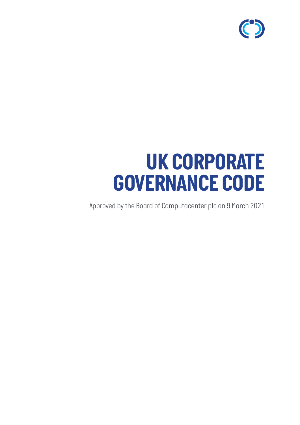

# *UK CORPORATE GOVERNANCE CODE*

*Approved by the Board of Computacenter plc on 9 March 2021*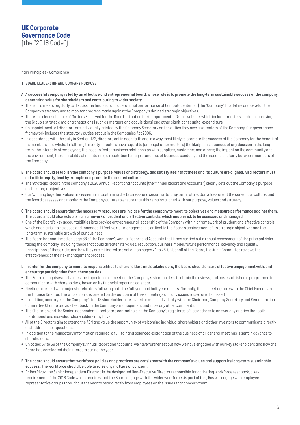## *UK Corporate Governance Code (the "2018 Code")*

*Main Principles - Compliance*

#### *1 BOARD LEADERSHIP AND COMPANY PURPOSE*

- *A A successful company is led by an effective and entrepreneurial board, whose role is to promote the long-term sustainable success of the company, generating value for shareholders and contributing to wider society.*
- *The Board meets regularly to discuss the financial and operational performance of Computacenter plc (the "Company"), to define and develop the Company's strategy and to monitor progress made against the Company's defined strategic objectives.*
- *There is a clear schedule of Matters Reserved for the Board set out on the Computacenter Group website, which includes matters such as approving the Group's strategy, major transactions (such as mergers and acquisitions) and other significant capital expenditure.*
- *On appointment, all directors are individually briefed by the Company Secretary on the duties they owe as directors of the Company. Our governance framework includes the statutory duties set out in the Companies Act 2006.*
- In accordance with the duty in Section 172, directors act in good faith and in a way most likely to promote the success of the Company for the benefit of its members as a whole. In fulfilling this duty, directors have regard to (amongst other matters) the likely consequences of any decision in the long *term; the interests of employees; the need to foster business relationships with suppliers, customers and others; the impact on the community and the environment; the desirability of maintaining a reputation for high standards of business conduct; and the need to act fairly between members of the Company.*
- *B The board should establish the company's purpose, values and strategy, and satisfy itself that these and its culture are aligned. All directors must act with integrity, lead by example and promote the desired culture.*
- The Strategic Report in the Company's 2020 Annual Report and Accounts (the "Annual Report and Accounts") clearly sets out the Company's purpose *and strategic objectives.*
- *Our 'winning together' values are essential in sustaining the business and securing its long-term future. Our values are at the core of our culture, and the Board assesses and monitors the Company culture to ensure that this remains aligned with our purpose, values and strategy.*
- *C The board should ensure that the necessary resources are in place for the company to meet its objectives and measure performance against them. The board should also establish a framework of prudent and effective controls, which enable risk to be assessed and managed.*
- *One of the Board's key accountabilities is to provide entrepreneurial leadership of the Company within a framework of prudent and effective controls which enable risk to be assed and managed. Effective risk management is critical to the Board's achievement of its strategic objectives and the long-term sustainable growth of our business.*
- *The Board has confirmed on page 88 of the Company's Annual Report and Accounts that it has carried out a robust assessment of the principal risks facing the company, including those that could threaten its values, reputation, business model, future performance, solvency and liquidity. Descriptions of those risks and how they are mitigated are set out on pages 71 to 76. On behalf of the Board, the Audit Committee reviews the effectiveness of the risk management process.*
- *D In order for the company to meet its responsibilities to shareholders and stakeholders, the board should ensure effective engagement with, and encourage participation from, these parties.*
- *The Board recognises and values the importance of meeting the Company's shareholders to obtain their views, and has established a programme to communicate with shareholders, based on its financial reporting calendar.*
- *Meetings are held with major shareholders following both the full-year and half-year results. Normally, these meetings are with the Chief Executive and the Finance Director. The whole Board is briefed on the outcome of these meetings and any issues raised are discussed.*
- *In addition, once a year, the Company's top 15 shareholders are invited to meet individually with the Chairman, Company Secretary and Remuneration Committee Chair to provide feedback on the Company's management and raise any other comments.*
- *The Chairman and the Senior Independent Director are contactable at the Company's registered office address to answer any queries that both institutional and individual shareholders may have.*
- *All of the Directors aim to attend the AGM and value the opportunity of welcoming individual shareholders and other investors to communicate directly and address their questions.*
- *In addition to the mandatory information required, a full, fair and balanced explanation of the business of all general meetings is sent in advance to shareholders.*
- *On pages 57 to 59 of the Company's Annual Report and Accounts, we have further set out how we have engaged with our key stakeholders and how the Board has considered their interests during the year*
- *E The board should ensure that workforce policies and practices are consistent with the company's values and support its long-term sustainable success. The workforce should be able to raise any matters of concern.*
- *Dr Ros Rivaz, the Senior Independent Director, is the designated Non-Executive Director responsible for gathering workforce feedback, a key*  requirement of the 2018 Code which requires that the Board engage with the wider workforce. As part of this, Ros will engage with employee *representative groups throughout the year to hear directly from employees on the issues that concern them.*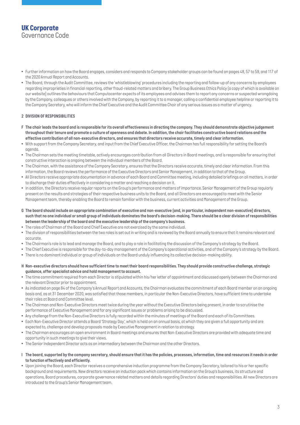# *UK Corporate Governance Code*

- *Further information on how the Board engages, considers and responds to Company stakeholder groups can be found on pages 48, 57 to 59, and 117 of the 2020 Annual Report and Accounts.*
- *The Board, through the Audit Committee, reviews the 'whistleblowing' procedures including the reporting and follow-up of any concerns by employees regarding improprieties in financial reporting, other fraud-related matters and bribery. The Group Business Ethics Policy (a copy of which is available on our website) outlines the behaviours that Computacenter expects of its employees and advises them to report any concerns or suspected wrongdoing by the Company, colleagues or others involved with the Company, by reporting it to a manager, calling a confidential employee helpline or reporting it to the Company Secretary, who will inform the Chief Executive and the Audit Committee Chair of any serious issues as a matter of urgency.*

## *2 DIVISION OF RESPONSIBILITIES*

- *F The chair leads the board and is responsible for its overall effectiveness in directing the company. They should demonstrate objective judgement throughout their tenure and promote a culture of openness and debate. In addition, the chair facilitates constructive board relations and the effective contribution of all non-executive directors, and ensures that directors receive accurate, timely and clear information.*
- With support from the Company Secretary, and input from the Chief Executive Officer, the Chairman has full responsibility for setting the Board's *agenda.*
- *The Chairman sets the meeting timetable, actively encourages contribution from all Directors in Board meetings, and is responsible for ensuring that constructive interaction is ongoing between the individual members of the Board.*
- *The Chairman, with the assistance of the Company Secretary, ensures that the Directors receive accurate, timely and clear information. From this information, the Board reviews the performance of the Executive Directors and Senior Management, in addition to that of the Group.*
- *All Directors receive appropriate documentation in advance of each Board and Committee meeting, including detailed briefings on all matters, in order to discharge their duties effectively in considering a matter and reaching a decision on it.*
- *In addition, the Directors receive regular reports on the Group's performance and matters of importance. Senior Management of the Group regularly present on the results and strategies of their respective business units to the Board, and all Directors are encouraged to meet with the Senior Management team, thereby enabling the Board to remain familiar with the business, current activities and Management of the Group.*
- *G The board should include an appropriate combination of executive and non-executive (and, in particular, independent non-executive) directors, such that no one individual or small group of individuals dominates the board's decision-making. There should be a clear division of responsibilities between the leadership of the board and the executive leadership of the company's business.*
- *The roles of Chairman of the Board and Chief Executive are not exercised by the same individual.*
- *The division of responsibilities between the two roles is set out in writing and is reviewed by the Board annually to ensure that it remains relevant and accurate.*
- *• The Chairman's role is to lead and manage the Board, and to play a role in facilitating the discussion of the Company's strategy by the Board.*
- *• The Chief Executive is responsible for the day-to-day management of the Company's operational activities, and of the Company's strategy by the Board.*
- *• There is no dominant individual or group of individuals on the Board unduly influencing its collective decision-making ability.*
- *H Non-executive directors should have sufficient time to meet their board responsibilities. They should provide constructive challenge, strategic guidance, offer specialist advice and hold management to account.*
- *The time commitment required from each Director is stipulated within his/her letter of appointment and discussed openly between the Chairman and the relevant Director prior to appointment.*
- *As indicated on page 84 of the Company's Annual Report and Accounts, the Chairman evaluates the commitment of each Board member on an ongoing basis and, as at 31 December 2020, was satisfied that those members, in particular the Non-Executive Directors, have sufficient time to undertake their roles at Board and Committee level.*
- *The Chairman and Non-Executive Directors meet twice during the year without the Executive Directors being present, in order to scrutinise the performance of Executive Management and for any significant issues or problems arising to be discussed.*
- *• Any challenge from the Non-Executive Directors is fully recorded within the minutes of meetings of the Board and each of its Committees.*
- *Each Non-Executive Director attends a Board 'Strategy Day', which is held on an annual basis, at which they are given a full opportunity and are expected to, challenge and develop proposals made by Executive Management in relation to strategy.*
- *The Chairman encourages an open environment in Board meetings and ensures that Non-Executive Directors are provided with adequate time and opportunity in such meetings to give their views.*
- *• The Senior Independent Director acts as an intermediary between the Chairman and the other Directors.*
- *I The board, supported by the company secretary, should ensure that it has the policies, processes, information, time and resources it needs in order to function effectively and efficiently.*
- *Upon joining the Board, each Director receives a comprehensive induction programme from the Company Secretary, tailored to his or her specific background and requirements. New directors receive an induction pack which contains information on the Group's business, its structure and operations, Board procedures, corporate governance related matters and details regarding Directors' duties and responsibilities. All new Directors are introduced to the Group's Senior Management team.*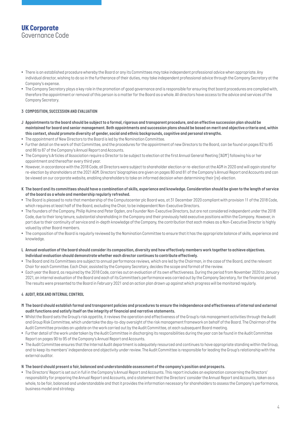# *UK Corporate Governance Code*

- *There is an established procedure whereby the Board or any its Committees may take independent professional advice when appropriate. Any individual director, wishing to do so in the furtherance of their duties, may take independent professional advice through the Company Secretary at the Company's expense.*
- *The Company Secretary plays a key role in the promotion of good governance and is responsible for ensuring that board procedures are complied with, therefore the appointment or removal of this person is a matter for the Board as a whole. All directors have access to the advice and services of the Company Secretary.*

## *3 COMPOSITION, SUCCESSION AND EVALUATION*

- *J Appointments to the board should be subject to a formal, rigorous and transparent procedure, and an effective succession plan should be maintained for board and senior management. Both appointments and succession plans should be based on merit and objective criteria and, within this context, should promote diversity of gender, social and ethnic backgrounds, cognitive and personal strengths.*
- *• The appointment of New Directors to the Board is led by the Nomination Committee.*
- *Further detail on the work of that Committee, and the procedures for the appointment of new Directors to the Board, can be found on pages 82 to 85 and 86 to 87 of the Company's Annual Report and Accounts.*
- The Company's Articles of Association require a Director to be subject to election at the first Annual General Meeting ['AGM') following his or her *appointment and thereafter every third year.*
- *However, in accordance with the 2018 Code, all Directors were subject to shareholder election or re-election at the AGM in 2020 and will again stand for re-election by shareholders at the 2021 AGM. Directors' biographies are given on pages 80 and 81 of the Company's Annual Report and Accounts and can be viewed on our corporate website, enabling shareholders to take an informed decision when determining their (re)-election.*
- *K The board and its committees should have a combination of skills, experience and knowledge. Consideration should be given to the length of service of the board as a whole and membership regularly refreshed.*
- *The Board is pleased to note that membership of the Computacenter plc Board was, at 31 December 2020 compliant with provision 11 of the 2018 Code, which requires at least half of the Board, excluding the Chair, to be independent Non-Executive Directors.*
- *The founders of the Company, Philip Hulme and Peter Ogden, are Founder Non-Executive Directors, but are not considered independent under the 2018*  Code, due to their long tenure, substantial shareholding in the Company and their previously held executive positions within the Company. However, in *part due to their continuity of service and in-depth knowledge of the Company, the contribution that each makes as a Non-Executive Director is highly valued by other Board members.*
- *The composition of the Board is regularly reviewed by the Nomination Committee to ensure that it has the appropriate balance of skills, experience and knowledge.*
- *L Annual evaluation of the board should consider its composition, diversity and how effectively members work together to achieve objectives. Individual evaluation should demonstrate whether each director continues to contribute effectively.*
- The Board and its Committees are subject to annual performance reviews, which are led by the Chairman, in the case of the Board, and the relevant *Chair for each Committee. Each Chair, assisted by the Company Secretary, decides the scope and format of the review.*
- *Each year the Board, as required by the 2018 Code, carries out an evaluation of its own effectiveness. During the period from November 2020 to January 2021, an internal evaluation of the Board and each of its Committee's performance was carried out by the Company Secretary, for the financial period. The results were presented to the Board in February 2021 and an action plan drawn up against which progress will be monitored regularly.*

## *4 AUDIT, RISK AND INTERNAL CONTROL*

- *M The board should establish formal and transparent policies and procedures to ensure the independence and effectiveness of internal and external audit functions and satisfy itself on the integrity of financial and narrative statements.*
- *Whilst the Board sets the Group's risk appetite, it reviews the operation and effectiveness of the Group's risk management activities through the Audit and Group Risk Committee, which undertake the day-to-day oversight of the risk management framework on behalf of the Board. The Chairman of the Audit Committee provides an update on the work carried out by the Audit Committee, at each subsequent Board meeting.*
- *Further detail of the work undertaken by the Audit Committee in discharging its responsibilities during the year can be found in the Audit Committee Report on pages 90 to 95 of the Company's Annual Report and Accounts.*
- *The Audit Committee ensures that the Internal Audit department is adequately resourced and continues to have appropriate standing within the Group, and to keep its members' independence and objectivity under review. The Audit Committee is responsible for leading the Group's relationship with the external auditor.*

## *N The board should present a fair, balanced and understandable assessment of the company's position and prospects.*

*• The Directors' Report is set out in full in the Company's Annual Report and Accounts. This report includes an explanation concerning the Directors' responsibility for preparing the Annual Report and Accounts, and a statement that the Directors' consider the Annual Report and Accounts, taken as a whole, to be fair, balanced and understandable and that it provides the information necessary for shareholders to assess the Company's performance, business model and strategy.*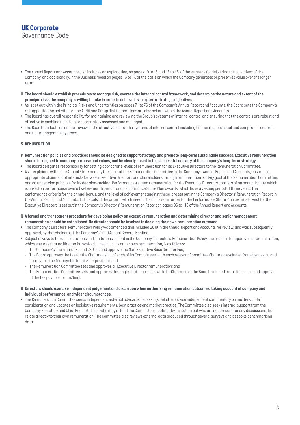# *UK Corporate Governance Code*

- *The Annual Report and Accounts also includes an explanation, on pages 10 to 15 and 18 to 43, of the strategy for delivering the objectives of the Company, and additionally, in the Business Model on pages 16 to 17, of the basis on which the Company generates or preserves value over the longer term.*
- *O The board should establish procedures to manage risk, oversee the internal control framework, and determine the nature and extent of the principal risks the company is willing to take in order to achieve its long-term strategic objectives.*
- As is set out within the Principal Risks and Uncertainties on pages 71 to 76 of the Company's Annual Report and Accounts, the Board sets the Company's *risk appetite. The activities of the Audit and Group Risk Committees are also set out within the Annual Report and Accounts.*
- *The Board has overall responsibility for maintaining and reviewing the Group's systems of internal control and ensuring that the controls are robust and effective in enabling risks to be appropriately assessed and managed.*
- *The Board conducts an annual review of the effectiveness of the systems of internal control including financial, operational and compliance controls and risk management systems.*

## *5 REMUNERATION*

- *P Remuneration policies and practices should be designed to support strategy and promote long-term sustainable success. Executive remuneration should be aligned to company purpose and values, and be clearly linked to the successful delivery of the company's long-term strategy.*
- *The Board delegates responsibility for setting appropriate levels of remuneration for its Executive Directors to the Remuneration Committee.*
- *As is explained within the Annual Statement by the Chair of the Remuneration Committee in the Company's Annual Report and Accounts, ensuring an appropriate alignment of interests between Executive Directors and shareholders through remuneration is a key goal of the Remuneration Committee, and an underlying principle for its decision-making. Performance-related remuneration for the Executive Directors consists of an annual bonus, which*  is based on performance over a twelve-month period, and Performance Share Plan awards, which have a vesting period of three years. The *performance criteria for the annual bonus, and the level of achievement against these, are set out in the Company's Directors' Remuneration Report in* the Annual Report and Accounts. Full details of the criteria which need to be achieved in order for the Performance Share Plan awards to vest for the *Executive Directors is set out in the Company's Directors' Remuneration Report on pages 96 to 116 of the Annual Report and Accounts.*
- *Q A formal and transparent procedure for developing policy on executive remuneration and determining director and senior management remuneration should be established. No director should be involved in deciding their own remuneration outcome.*
- *The Company's Directors' Remuneration Policy was amended and included 2019 in the Annual Report and Accounts for review, and was subsequently approved, by shareholders at the Company's 2020 Annual General Meeting.*
- *Subject always to the considerations and limitations set out in the Company's Directors' Remuneration Policy, the process for approval of remuneration, which ensures that no Director is involved in deciding his or her own remuneration, is as follows:*
	- *- The Company's Chairman, CEO and CFO set and approve the Non-Executive Base Director Fee;*
	- *The Board approves the fee for the Chairmanship of each of its Committees (with each relevant Committee Chairman excluded from discussion and approval of the fee payable for his/her position); and*
	- *- The Remuneration Committee sets and approves all Executive Director remuneration; and*
	- The Remuneration Committee sets and approves the single Chairman's fee (with the Chairman of the Board excluded from discussion and approval *of the fee payable to him/her).*
- *R Directors should exercise independent judgement and discretion when authorising remuneration outcomes, taking account of company and individual performance, and wider circumstances.*
- *The Remuneration Committee seeks independent external advice as necessary. Deloitte provide independent commentary on matters under consideration and updates on legislative requirements, best practice and market practice. The Committee also seeks internal support from the Company Secretary and Chief People Officer, who may attend the Committee meetings by invitation but who are not present for any discussions that relate directly to their own remuneration. The Committee also reviews external data produced through several surveys and bespoke benchmarking data.*